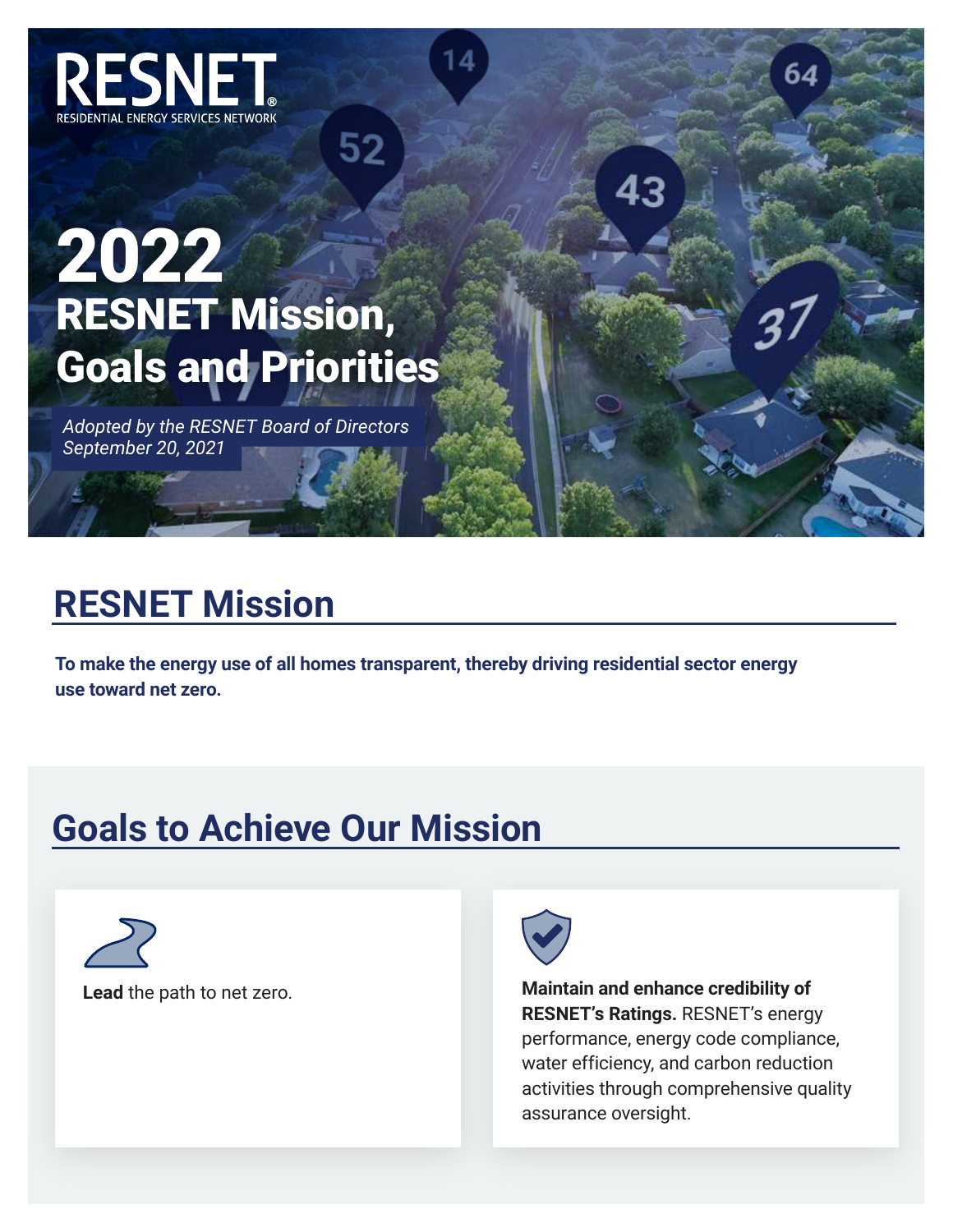

## RESNET Mission, Goals and Priorities 2022

52

*Adopted by the RESNET Board of Directors September 20, 2021*

## **RESNET Mission**

**To make the energy use of all homes transparent, thereby driving residential sector energy use toward net zero.**

## **Goals to Achieve Our Mission**

**Lead** the path to net zero.



**Maintain and enhance credibility of RESNET's Ratings.** RESNET's energy performance, energy code compliance, water efficiency, and carbon reduction activities through comprehensive quality assurance oversight.

64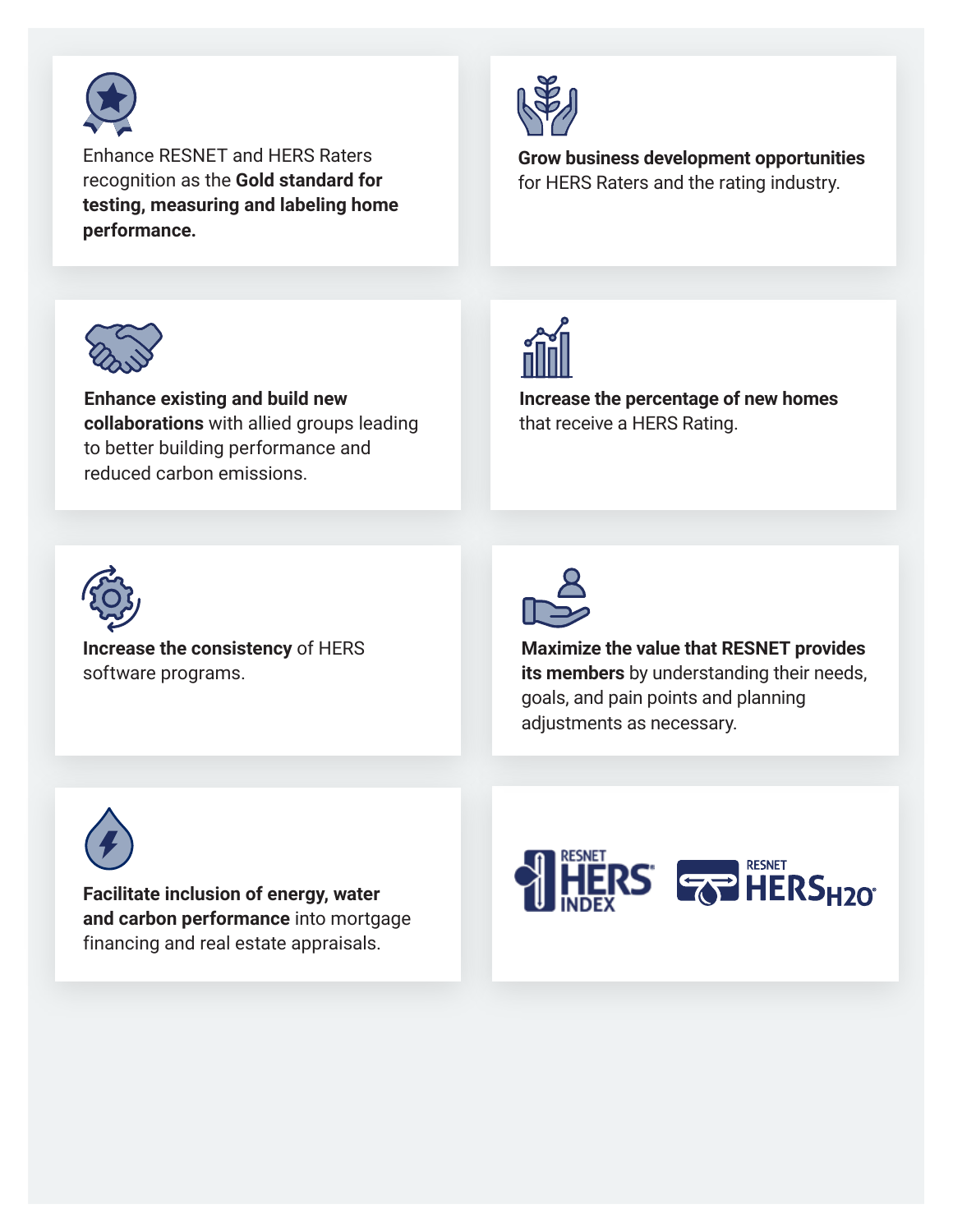

Enhance RESNET and HERS Raters recognition as the **Gold standard for testing, measuring and labeling home performance.**



**Grow business development opportunities** for HERS Raters and the rating industry.



**Enhance existing and build new collaborations** with allied groups leading to better building performance and reduced carbon emissions.



**Increase the percentage of new homes**  that receive a HERS Rating.



**Increase the consistency** of HERS software programs.



**Maximize the value that RESNET provides its members** by understanding their needs, goals, and pain points and planning adjustments as necessary.



**Facilitate inclusion of energy, water and carbon performance** into mortgage financing and real estate appraisals.